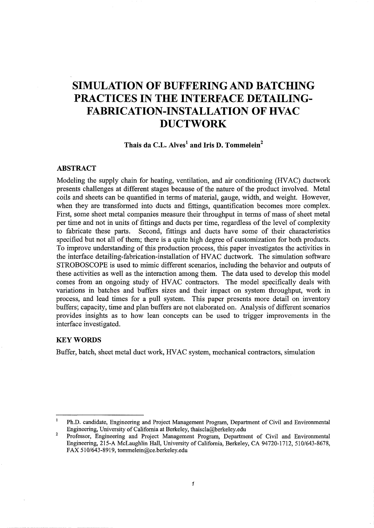# **SIMULATION OF BUFFERING AND BATCHING PRACTICES IN THE INTERFACE DETAILING-FABRICATION-INSTALLATION OF HVAC DUCTWORK**

# Thais da C.L. Alves<sup>1</sup> and Iris D. Tommelein<sup>2</sup>

# **ABSTRACT**

Modeling the supply chain for heating, ventilation, and air conditioning (HVAC) ductwork presents challenges at different stages because of the nature of the product involved. Metal coils and sheets can be quantified in terms of material, gauge, width, and weight. However, when they are transformed into ducts and fittings, quantification becomes more complex. First, some sheet metal companies measure their throughput in terms of mass of sheet metal per time and not in units of fittings and ducts per time, regardless of the level of complexity to fabricate these parts. Second, fittings and ducts have some of their characteristics specified but not all of them; there is a quite high degree of customization for both products. To improve understanding of this production process, this paper investigates the activities in the interface detailing-fabrication-installation of HV AC ductwork. The simulation software STROBOSCOPE is used to mimic different scenarios, including the behavior and outputs of these activities as well as the interaction among them. The data used to develop this model comes from an ongoing study of HVAC contractors. The model specifically deals with variations in batches and buffers sizes and their impact on system throughput, work in process, and lead times for a pull system. This paper presents more detail on inventory buffers; capacity, time and plan buffers are not elaborated on. Analysis of different scenarios provides insights as to how lean concepts can be used to trigger improvements in the interface investigated.

## **KEYWORDS**

Buffer, batch, sheet metal duct work, HV AC system, mechanical contractors, simulation

 $\mathbf{1}$ Ph.D. candidate, Engineering and Project Management Program, Department of Civil and Environmental Engineering, University of California at Berkeley, thaiscla@berkeley.edu

<sup>2</sup>  Professor, Engineering and Project Management Program, Department of Civil and Environmental Engineering, 215-A McLaughlin Hall, University of California, Berkeley, CA 94720-1712, 510/643-8678, FAX 510/643-8919, tommelein@ce.berkeley.edu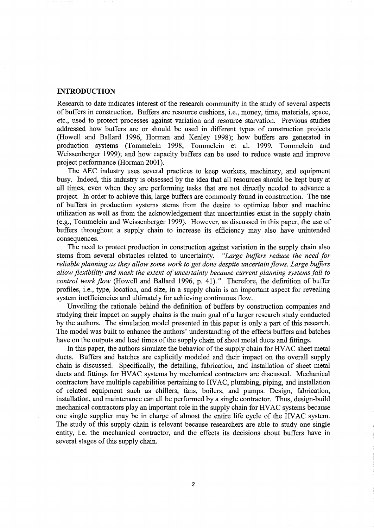#### **INTRODUCTION**

Research to date indicates interest of the research community in the study of several aspects of buffers in construction. Buffers are resource cushions, i.e., money, time, materials, space, etc., used to protect processes against variation and resource starvation. Previous studies addressed how buffers are or should be used in different types of construction projects (Howell and Ballard 1996, Horman and Kenley 1998); how buffers are generated in production systems (Tommelein 1998, Tommelein et al. 1999, Tommelein and Weissenberger 1999); and how capacity buffers can be used to reduce waste and improve project performance (Horman 2001).

The AEC industry uses several practices to keep workers, machinery, and equipment busy. Indeed, this industry is obsessed by the idea that all resources should be kept busy at all times, even when they are performing tasks that are not directly needed to advance a project. In order to achieve this, large buffers are commonly found in construction. The use of buffers in production systems stems from the desire to optimize labor and machine utilization as well as from the acknowledgement that uncertainties exist in the supply chain (e.g., Tommelein and Weissenberger 1999). However, as discussed in this paper, the use of buffers throughout a supply chain to increase its efficiency may also have unintended consequences.

The need to protect production in construction against variation in the supply chain also stems from several obstacles related to uncertainty. *"Large buffers reduce the need for reliable planning as they allow some work to get done despite uncertain flows. Large buffers allow flexibility and mask the extent of uncertainty because current planning systems fail to control work flow* (Howell and Ballard 1996, p. 41)." Therefore, the definition of buffer profiles, i.e., type, location, and size, in a supply chain is an important aspect for revealing system inefficiencies and ultimately for achieving continuous flow.

Unveiling the rationale behind the definition of buffers by construction companies and studying their impact on supply chains is the main goal of a larger research study conducted by the authors. The simulation model presented in this paper is only a part of this research. The model was built to enhance the authors' understanding of the effects buffers and batches have on the outputs and lead times of the supply chain of sheet metal ducts and fittings.

In this paper, the authors simulate the behavior of the supply chain for HVAC sheet metal ducts. Buffers and batches are explicitly modeled and their impact on the overall supply chain is discussed. Specifically, the detailing, fabrication, and installation of sheet metal ducts and fittings for HVAC systems by mechanical contractors are discussed. Mechanical contractors have multiple capabilities pertaining to HV AC, plumbing, piping, and installation of related equipment such as chillers, fans, boilers, and pumps. Design, fabrication, installation, and maintenance can all be performed by a single contractor. Thus, design-build mechanical contractors play an important role in the supply chain for HV AC systems because one single supplier may be in charge of almost the entire life cycle of the HV AC system. The study of this supply chain is relevant because researchers are able to study one single entity, i.e. the mechanical contractor, and the effects its decisions about buffers have in several stages of this supply chain.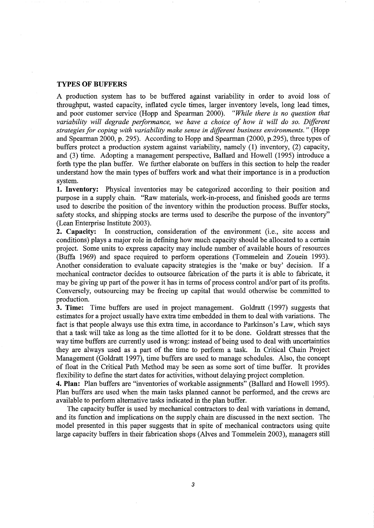#### **TYPES OF BUFFERS**

A production system has to be buffered against variability in order to avoid loss of throughput, wasted capacity, inflated cycle times, larger inventory levels, long lead times, and poor customer service (Hopp and Spearman 2000). *"While there is no question that variability will degrade performance, we have a choice of how* it *will do so. Different strategies for coping with variability make sense in different business environments.* " (Hopp and Spearman 2000, p. 295). According to Hopp and Spearman (2000, p.295), three types of buffers protect a production system against variability, namely (1) inventory, (2) capacity, and (3) time. Adopting a management perspective, Ballard and Howell (1995) introduce a forth type the plan buffer. We further elaborate on buffers in this section to help the reader understand how the main types of buffers work and what their importance is in a production system.

**1. Inventory:** Physical inventories may be categorized according to their position and purpose in a supply chain. "Raw materials, work-in-process, and finished goods are terms used to describe the position of the inventory within the production process. Buffer stocks, safety stocks, and shipping stocks are terms used to describe the purpose of the inventory" (Lean Enterprise Institute 2003).

**2. Capacity:** In construction, consideration of the environment (i.e., site access and conditions) plays a major role in defining how much capacity should be allocated to a certain project. Some units to express capacity may include number of available hours of resources (Buffa 1969) and space required to perform operations (Tommelein and Zouein 1993). Another consideration to evaluate capacity strategies is the 'make or buy' decision. If a mechanical contractor decides to outsource fabrication of the parts it is able to fabricate, it may be giving up part of the power it has in terms of process control and/or part of its profits. Conversely, outsourcing may be freeing up capital that would otherwise be committed to production.

**3. Time:** Time buffers are used in project management. Goldratt (1997) suggests that estimates for a project usually have extra time embedded in them to deal with variations. The fact is that people always use this extra time, in accordance to Parkinson's Law, which says that a task will take as long as the time allotted for it to be done. Goldratt stresses that the way time buffers are currently used is wrong: instead of being used to deal with uncertainties they are always used as a part of the time to perform a task. In Critical Chain Project Management (Goldratt 1997), time buffers are used to manage schedules. Also, the concept of float in the Critical Path Method may be seen as some sort of time buffer. It provides flexibility to define the start dates for activities, without delaying project completion.

4. Plan: Plan buffers are "inventories of workable assignments" (Ballard and Howell 1995). Plan buffers are used when the main tasks planned cannot be performed, and the crews are available to perform alternative tasks indicated in the plan buffer.

The capacity buffer is used by mechanical contractors to deal with variations in demand, and its function and implications on the supply chain are discussed in the next section. The model presented in this paper suggests that in spite of mechanical contractors using quite large capacity buffers in their fabrication shops (Alves and Tommelein 2003), managers still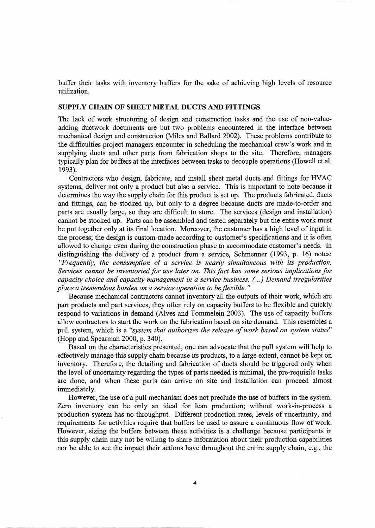buffer their tasks with inventory buffers for the sake of achieving high levels of resource utilization.

# **SUPPLY CHAIN OF SHEET METAL DUCTS AND FITTINGS**

The lack of work structuring of design and construction tasks and the use of non-valueadding ductwork documents are but two problems encountered in the interface between mechanical design and construction (Miles and Ballard 2002). These problems contribute to the difficulties project managers encounter in scheduling the mechanical crew's work and in supplying ducts and other parts from fabrication shops to the site. Therefore, managers typically plan for buffers at the interfaces between tasks to decouple operations (Howell et al. 1993).

Contractors who design, fabricate, and install sheet metal ducts and fittings for HV AC systems, deliver not only a product but also a service. This is important to note because it determines the way the supply chain for this product is set up. The products fabricated, ducts and fittings, can be stocked up, but only to a degree because ducts are made-to-order and parts are usually large, so they are difficult to store. The services (design and installation) cannot be stocked up. Parts can be assembled and tested separately but the entire work must be put together only at its final location. Moreover, the customer has a high level of input in the process; the design is custom-made according to customer's specifications and it is often allowed to change even during the construction phase to accommodate customer's needs. In distinguishing the delivery of a product from a service, Schmenner (1993, p. 16) notes: *"Frequently, the consumption of a service is nearly simultaneous with its production. Services cannot be inventoried for use later on. This fact has some serious implications for capacity choice and capacity management in a service business. (. . .) Demand irregularities place a tremendous burden on a service operation to be flexible.* "

Because mechanical contractors cannot inventory all the outputs of their work, which are part products and part services, they often rely on capacity buffers to be flexible and quickly respond to variations in demand (Alves and Tommelein 2003). The use of capacity buffers allow contractors to start the work on the fabrication based on site demand. This resembles a pull system, which is a *"system that authorizes the release of work based on system status"*  (Hopp and Spearman 2000, p. 340).

Based on the characteristics presented, one can advocate that the pull system will help to effectively manage this supply chain because its products, to a large extent, cannot be kept on inventory. Therefore, the detailing and fabrication of ducts should be triggered only when the level of uncertainty regarding the types of parts needed is minimal, the pre-requisite tasks are done, and when these parts can arrive on site and installation can proceed almost immediately.

However, the use of a pull mechanism does not preclude the use of buffers in the system. Zero inventory can be only an ideal for lean production; without work-in-process a production system has no throughput. Different production rates, levels of uncertainty, and requirements for activities require that buffers be used to assure a continuous flow of work. However, sizing the buffers between these activities is a challenge because participants in this supply chain may not be willing to share information about their production capabilities nor be able to see the impact their actions have throughout the entire supply chain, e.g., the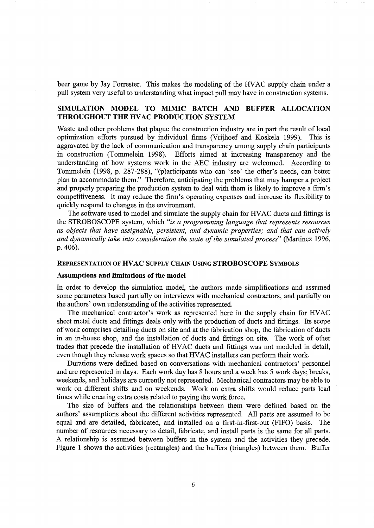beer game by Jay Forrester. This makes the modeling of the HVAC supply chain under a pull system very useful to understanding what impact pull may have in construction systems.

# SIMULATION MODEL TO MIMIC BATCH AND BUFFER ALLOCATION THROUGHOUT THE HVAC PRODUCTION SYSTEM

Waste and other problems that plague the construction industry are in part the result of local optimization efforts pursued by individual firms (Vrijhoef and Koskela 1999). This is aggravated by the lack of communication and transparency among supply chain participants in construction (Tommelein 1998). Efforts aimed at increasing transparency and the understanding of how systems work in the AEC industry are welcomed. According to Tommelein (1998, p. 287-288), "(p)articipants who can 'see' the other's needs, can better plan to accommodate them." Therefore, anticipating the problems that may hamper a project and properly preparing the production system to deal with them is likely to improve a firm's competitiveness. It may reduce the firm's operating expenses and increase its flexibility to quickly respond to changes in the environment.

The software used to model and simulate the supply chain for HVAC ducts and fittings is the STROBOSCOPE system, which *"is a programming language that represents resources as objects that have assignable, persistent, and dynamic properties; and that can actively and dynamically take into consideration the state of the simulated process"* (Martinez 1996, p. 406).

### REPRESENTATION OF HVAC SUPPLY CHAIN USING STROBOSCOPE SYMBOLS

#### Assumptions and limitations of the model

In order to develop the simulation model, the authors made simplifications and assumed some parameters based partially on interviews with mechanical contractors, and partially on the authors' own understanding of the activities represented.

The mechanical contractor's work as represented here in the supply chain for HVAC sheet metal ducts and fittings deals only with the production of ducts and fittings. Its scope of work comprises detailing ducts on site and at the fabrication shop, the fabrication of ducts in an in-house shop, and the installation of ducts and fittings on site. The work of other trades that precede the installation of HVAC ducts and fittings was not modeled in detail, even though they release work spaces so that HVAC installers can perform their work.

Durations were defined based on conversations with mechanical contractors' personnel and are represented in days. Each work day has 8 hours and a week has 5 work days; breaks, weekends, and holidays are currently not represented. Mechanical contractors may be able to work on different shifts and on weekends. Work on extra shifts would reduce parts lead times while creating extra costs related to paying the work force.

The size of buffers and the relationships between them were defined based on the authors' assumptions about the different activities represented. All parts are assumed to be equal and are detailed, fabricated, and installed on a first-in-first-out (FIFO) basis. The number of resources necessary to detail, fabricate, and install parts is the same for all parts. A relationship is assumed between buffers in the system and the activities they precede. Figure 1 shows the activities (rectangles) and the buffers (triangles) between them. Buffer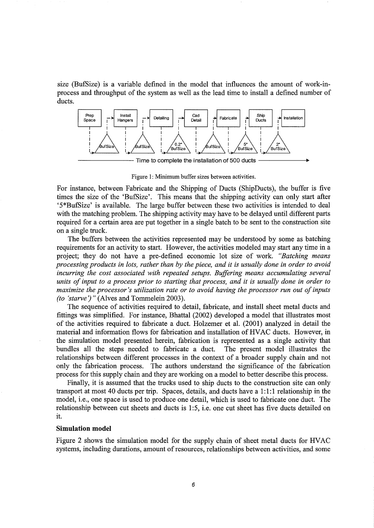size (BufSize) is a variable defined in the model that influences the amount of work-inprocess and throughput of the system as well as the lead time to install a defined number of ducts.



Figure 1: Minimum buffer sizes between activities.

For instance, between Fabricate and the Shipping of Ducts (ShipDucts), the buffer is five times the size of the 'BufSize'. This means that the shipping activity can only start after '5\*BufSize' is available. The large buffer between these two activities is intended to deal with the matching problem. The shipping activity may have to be delayed until different parts required for a certain area are put together in a single batch to be sent to the construction site on a single truck.

The buffers between the activities represented may be understood by some as hatching requirements for an activity to start. However, the activities modeled may start any time in a project; they do not have a pre-defined economic lot size of work. *"Batching means processing products in lots, rather than by the piece, and it is usually done in order to avoid incurring the cost associated with repeated setups. Buffering means accumulating several units of input to a process prior to starting that process, and it is usually done in order to maximize the processor's utilization rate or to avoid having the processor run out of inputs (to 'starve')"* (Alves and Tommelein 2003).

The sequence of activities required to detail, fabricate, and install sheet metal ducts and fittings was simplified. For instance, Bhattal (2002) developed a model that illustrates most of the activities required to fabricate a duct. Holzemer et al. (2001) analyzed in detail the material and information flows for fabrication and installation of HV AC ducts. However, in the simulation model presented herein, fabrication is represented as a single activity that bundles all the steps needed to fabricate a duct. The present model illustrates the relationships between different processes in the context of a broader supply chain and not only the fabrication process. The authors understand the significance of the fabrication process for this supply chain and they are working on a model to better describe this process.

Finally, it is assumed that the trucks used to ship ducts to the construction site can only transport at most 40 ducts per trip. Spaces, details, and ducts have a 1: 1: 1 relationship in the model, i.e., one space is used to produce one detail, which is used to fabricate one duct. The relationship between cut sheets and ducts is 1:5, i.e. one cut sheet has five ducts detailed on it.

#### **Simulation model**

Figure 2 shows the simulation model for the supply chain of sheet metal ducts for HVAC systems, including durations, amount of resources, relationships between activities, and some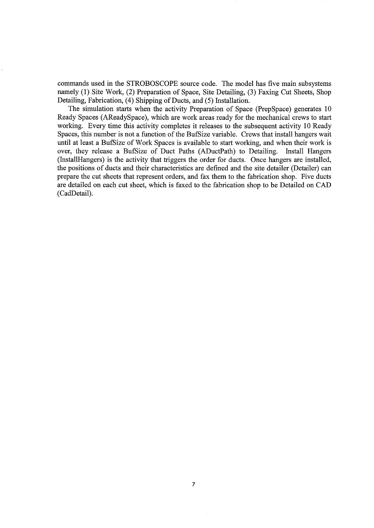commands used in the STROBOSCOPE source code. The model has five main subsystems namely (1) Site Work, (2) Preparation of Space, Site Detailing, (3) Faxing Cut Sheets, Shop Detailing, Fabrication, (4) Shipping of Ducts, and (5) Installation.

The simulation starts when the activity Preparation of Space (PrepSpace) generates 10 Ready Spaces (AReadySpace), which are work areas ready for the mechanical crews to start working. Every time this activity completes it releases to the subsequent activity 10 Ready Spaces, this number is not a function of the BufSize variable. Crews that install hangers wait until at least a BufSize of Work Spaces is available to start working, and when their work is over, they release a BufSize of Duct Paths (ADuctPath) to Detailing. Install Hangers (InstallHangers) is the activity that triggers the order for ducts. Once hangers are installed, the positions of ducts and their characteristics are defined and the site detailer (Detailer) can prepare the cut sheets that represent orders, and fax them to the fabrication shop. Five ducts are detailed on each cut sheet, which is faxed to the fabrication shop to be Detailed on CAD (CadDetail).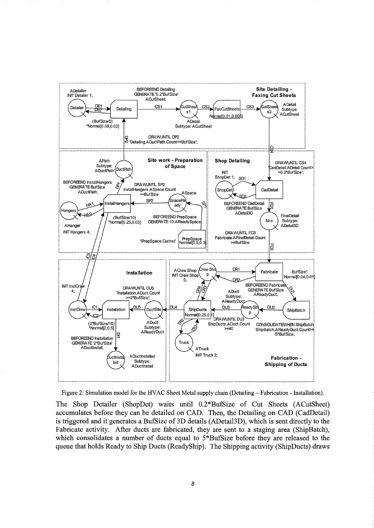

Figure 2: Simulation model for the HVAC Sheet Metal supply chain (Detailing - Fabrication - Installation).

The Shop Detailer (ShopDet) waits until 0.2\*BufSize of Cut Sheets (ACutSheet) accumulates before they can be detailed on CAD. Then, the Detailing on CAD (CadDetail) is triggered and it generates a BufSize of 3D details (ADetail3D), which is sent directly to the Fabricate activity. After ducts are fabricated, they are sent to a staging area (ShipBatch), which consolidates a number of ducts equal to 5\*BufSize before they are released to the queue that holds Ready to Ship Ducts (ReadyShip). The Shipping activity (ShipDucts) draws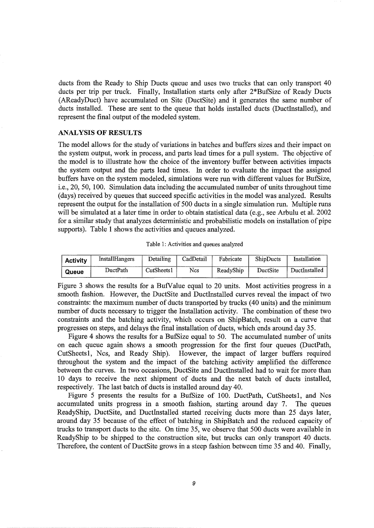ducts from the Ready to Ship Ducts queue and uses two trucks that can only transport 40 ducts per trip per truck. Finally, Installation starts only after 2\*BufSize of Ready Ducts (AReadyDuct) have accumulated on Site (DuctSite) and it generates the same number of ducts installed. These are sent to the queue that holds installed ducts (Ductlnstalled), and represent the final output of the modeled system.

# ANALYSIS OF RESULTS

The model allows for the study of variations in batches and buffers sizes and their impact on the system output, work in process, and parts lead times for a pull system. The objective of the model is to illustrate how the choice of the inventory buffer between activities impacts the system output and the parts lead times. In order to evaluate the impact the assigned buffers have on the system modeled, simulations were run with different values for BufSize, i.e., 20, 50, 100. Simulation data including the accumulated number of units throughout time (days) received by queues that succeed specific activities in the model was analyzed. Results represent the output for the installation of 500 ducts in a single simulation run. Multiple runs will be simulated at a later time in order to obtain statistical data (e.g., see Arbulu et al. 2002 for a similar study that analyzes deterministic and probabilistic models on installation of pipe supports). Table 1 shows the activities and queues analyzed.

|  |  | Table 1: Activities and queues analyzed |  |  |  |
|--|--|-----------------------------------------|--|--|--|
|--|--|-----------------------------------------|--|--|--|

| <b>Activity</b> | <b>InstallHangers</b> | Detailine  | CadDetail | Fabricate | ShipDucts | Installation  |
|-----------------|-----------------------|------------|-----------|-----------|-----------|---------------|
| Queue           | DuctPath              | CutSheets1 | Ncs       | ReadyShip | DuctSite  | DuctInstalled |

Figure 3 shows the results for a BufValue equal to 20 units. Most activities progress in a smooth fashion. However, the DuctSite and Ductlnstalled curves reveal the impact of two constraints: the maximum number of ducts transported by trucks (40 units) and the minimum number of ducts necessary to trigger the Installation activity. The combination of these two constraints and the batching activity, which occurs on ShipBatch, result on a curve that progresses on steps, and delays the final installation of ducts, which ends around day 35.

Figure 4 shows the results for a BufSize equal to 50. The accumulated number of units on each queue again shows a smooth progression for the first four queues (DuctPath, CutSheets1, Ncs, and Ready Ship). However, the impact of larger buffers required throughout the system and the impact of the batching activity amplified the difference between the curves. In two occasions, DuctSite and Ductlnstalled had to wait for more than 10 days to receive the next shipment of ducts and the next batch of ducts installed, respectively. The last batch of ducts is installed around day 40.

Figure 5 presents the results for a BufSize of 100. DuctPath, CutSheetsl, and Ncs accumulated units progress in a smooth fashion, starting around day 7. The queues ReadyShip, DuctSite, and Ductlnstalled started receiving ducts more than 25 days later, around day 35 because of the effect of batching in ShipBatch and the reduced capacity of trucks to transport ducts to the site. On time 35, we observe that 500 ducts were available in ReadyShip to be shipped to the construction site, but trucks can only transport 40 ducts. Therefore, the content of DuctSite grows in a steep fashion between time 35 and 40. Finally,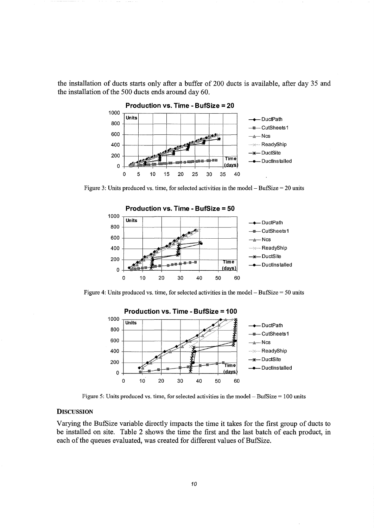the installation of ducts starts only after a buffer of 200 ducts is available, after day 35 and the installation of the 500 ducts ends around day 60.



Figure 3: Units produced vs. time, for selected activities in the model- BufSize = 20 units



Figure 4: Units produced vs. time, for selected activities in the model  $-$  BufSize  $=$  50 units



Figure 5: Units produced vs. time, for selected activities in the model - BufSize = 100 units

### **DISCUSSION**

Varying the BufSize variable directly impacts the time it takes for the first group of ducts to be installed on site. Table 2 shows the time the first and the last batch of each product, in each of the queues evaluated, was created for different values of BufSize.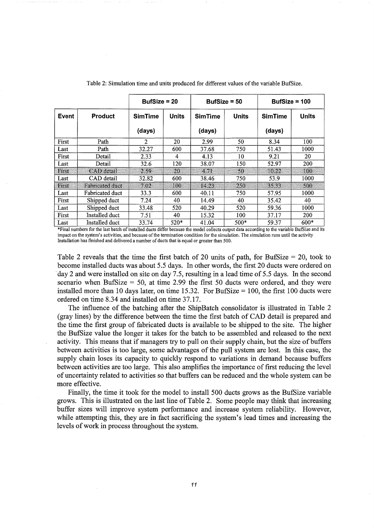|                                |                                                                                                                                                                                                                                               | BufSize = $20$ |                        | BufSize = $50$                     |              | BufSize = $100$ |                             |
|--------------------------------|-----------------------------------------------------------------------------------------------------------------------------------------------------------------------------------------------------------------------------------------------|----------------|------------------------|------------------------------------|--------------|-----------------|-----------------------------|
| Event                          | Product                                                                                                                                                                                                                                       | <b>SimTime</b> | <b>Units</b>           | <b>SimTime</b>                     | <b>Units</b> | <b>SimTime</b>  | <b>Units</b>                |
|                                |                                                                                                                                                                                                                                               | (days)         |                        | (days)                             |              | (days)          |                             |
| First                          | Path                                                                                                                                                                                                                                          | 2              | 20                     | 2.99                               | 50           | 8.34            | 100                         |
| Last                           | Path                                                                                                                                                                                                                                          | 32.27          | 600                    | 37.68                              | 750          | 51.43           | 1000                        |
| First                          | Detail                                                                                                                                                                                                                                        | 2.33           | 4                      | 4.13                               | 10           | 9.21            | 20                          |
| Last                           | Detail                                                                                                                                                                                                                                        | 32.6           | 120                    | 38.07                              | 150          | 52.97           | 200                         |
| First                          | CAD detail                                                                                                                                                                                                                                    | 2.59           | $20\,$                 | 4.71                               | 50           | 10.22           | 100                         |
| Last                           | CAD detail                                                                                                                                                                                                                                    | 32.82          | 600                    | 38.46                              | 750          | 53.9            | 1000                        |
| First                          | Fabricated duct                                                                                                                                                                                                                               | 7.02           | 100                    | 14.23                              | 250          | 35.33           | 500                         |
| Last                           | Fabricated duct                                                                                                                                                                                                                               | 33.3           | 600                    | 40.11                              | 750          | 57.95           | 1000                        |
| First                          | Shipped duct                                                                                                                                                                                                                                  | 7.24           | 40                     | 14.49                              | 40           | 35.42           | 40                          |
| Last                           | Shipped duct                                                                                                                                                                                                                                  | 33.48          | 520                    | 40.29                              | 520          | 59.36           | 1000                        |
| First                          | Installed duct                                                                                                                                                                                                                                | 7.51           | 40                     | 15.32                              | 100          | 37.17           | 200                         |
| Last<br><b>APPROVED STATES</b> | Installed duct<br>$P_1$ and $P_2$ is the set of $P_1$ and $P_2$ is the set of $P_1$ and $P_2$ and $P_3$ and $P_4$ and $P_5$ and $P_6$ and $P_7$ and $P_8$ and $P_9$ and $P_9$ and $P_9$ and $P_9$ and $P_9$ and $P_9$ and $P_9$ and $P_9$ and | 33.74          | 520*<br>$1.00 \pm 1.0$ | 41.04<br>$1.1 - 11.1 - 1.1 - 1.11$ | $500*$       | 59.37           | $600*$<br>1.11.77.001.73.24 |

Table 2: Simulation time and units produced for different values of the variable BufSize.

Final numbers for the last batch of installed ducts differ because the model collects output data according to the variable BufSize and its impact on the system's activities, and because of the termination condition for the simulation. The simulation runs until the activity Installation has finished and delivered a number of ducts that is equal or greater than 500.

Table 2 reveals that the time the first batch of 20 units of path, for BufSize  $= 20$ , took to become installed ducts was about 5.5 days. In other words, the first 20 ducts were ordered on day 2 and were installed on site on day 7.5, resulting in a lead time of 5.5 days. In the second scenario when BufSize  $= 50$ , at time 2.99 the first 50 ducts were ordered, and they were installed more than 10 days later, on time 15.32. For BufSize =  $100$ , the first 100 ducts were ordered on time 8.34 and installed on time 37.17.

The influence of the hatching after the ShipBatch consolidator is illustrated in Table 2 (gray lines) by the difference between the time the first batch of CAD detail is prepared and the time the first group of fabricated ducts is available to be shipped to the site. The higher the BufSize value the longer it takes for the batch to be assembled and released to the next activity. This means that if managers try to pull on their supply chain, but the size of buffers between activities is too large, some advantages of the pull system are lost. In this case, the supply chain loses its capacity to quickly respond to variations in demand because buffers between activities are too large. This also amplifies the importance of first reducing the level of uncertainty related to activities so that buffers can be reduced and the whole system can be more effective.

Finally, the time it took for the model to install 500 ducts grows as the BufSize variable grows. This is illustrated on the last line of Table 2. Some people may think that increasing buffer sizes will improve system performance and increase system reliability. However, while attempting this, they are in fact sacrificing the system's lead times and increasing the levels of work in process throughout the system.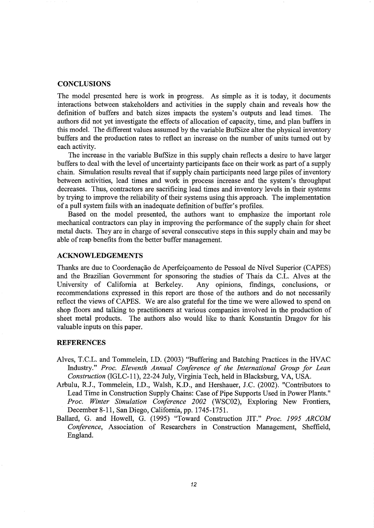## **CONCLUSIONS**

The model presented here is work in progress. As simple as it is today, it documents interactions between stakeholders and activities in the supply chain and reveals how the definition of buffers and batch sizes impacts the system's outputs and lead times. The authors did not yet investigate the effects of allocation of capacity, time, and plan buffers in this model. The different values assumed by the variable BufSize alter the physical inventory buffers and the production rates to reflect an increase on the number of units turned out by each activity.

The increase in the variable BufSize in this supply chain reflects a desire to have larger buffers to deal with the level of uncertainty participants face on their work as part of a supply chain. Simulation results reveal that if supply chain participants need large piles of inventory between activities, lead times and work in process increase and the system's throughput decreases. Thus, contractors are sacrificing lead times and inventory levels in their systems by trying to improve the reliability of their systems using this approach. The implementation of a pull system fails with an inadequate definition of buffer's profiles.

Based on the model presented, the authors want to emphasize the important role mechanical contractors can play in improving the performance of the supply chain for sheet metal ducts. They are in charge of several consecutive steps in this supply chain and may be able of reap benefits from the better buffer management.

#### **ACKNOWLEDGEMENTS**

Thanks are due to Coordenação de Aperfeiçoamento de Pessoal de Nível Superior (CAPES) and the Brazilian Government for sponsoring the studies of Thais da C.L. Alves at the University of California at Berkeley. Any opinions, findings, conclusions, or Any opinions, findings, conclusions, or recommendations expressed in this report are those of the authors and do not necessarily reflect the views of CAPES. We are also grateful for the time we were allowed to spend on shop floors and talking to practitioners at various companies involved in the production of sheet metal products. The authors also would like to thank Konstantin Dragov for his valuable inputs on this paper.

#### **REFERENCES**

- Alves, T.C.L. and Tommelein, I.D. (2003) "Buffering and Batching Practices in the HVAC Industry." *Proc. Eleventh Annual Conference of the International Group for Lean Construction* (IGLC-11), 22-24 July, Virginia Tech, held in Blacksburg, VA, USA.
- Arbulu, R.J., Tommelein, I.D., Walsh, K.D., and Hershauer, J.C. (2002). "Contributors to Lead Time in Construction Supply Chains: Case of Pipe Supports Used in Power Plants." *Proc. Winter Simulation Conference 2002* (WSC02), Exploring New Frontiers, December 8-11, San Diego, California, pp. 1745-1751.
- Ballard, G. and Howell, G. (1995) "Toward Construction JIT." *Proc. 1995 ARCOM Conference,* Association of Researchers in Construction Management, Sheffield, England.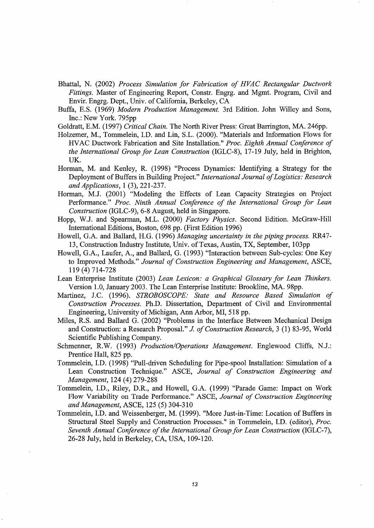- Bhattal, N. (2002) *Process Simulation for Fabrication of HVAC Rectangular Ductwork Fittings.* Master of Engineering Report, Constr. Engrg. and Mgmt. Program, Civil and Envir. Engrg. Dept., Univ. of California, Berkeley, CA
- Buffa, E.S. (1969) *Modern Production Management.* 3rd Edition. John Willey and Sons, Inc.: New York. 795pp
- Goldratt, E.M. (1997) *Critical Chain.* The North River Press: Great Barrington, MA. 246pp.
- Holzemer, M., Tommelein, J.D. and Lin, S.L. (2000). "Materials and Information Flows for HV AC Ductwork Fabrication and Site Installation." *Proc. Eighth Annual Conference of the International Group for Lean Construction* (IGLC-8), 17-19 July, held in Brighton, UK.
- Horman, M. and Kenley, R. (1998) "Process Dynamics: Identifying a Strategy for the Deployment of Buffers in Building Project." *International Journal of Logistics: Research and Applications,* 1 (3), 221-237.
- Horman, M.J. (2001) "Modeling the Effects of Lean Capacity Strategies on Project Performance." *Proc. Ninth Annual Conference of the International Group for Lean Construction* (IGLC-9), 6-8 August, held in Singapore.
- Hopp, W.J. and Spearman, M.L. (2000) *Factory Physics.* Second Edition. McGraw-Hill International Editions, Boston, 698 pp. (First Edition 1996)
- Howell, G.A. and Ballard, H.G. (1996) *Managing uncertainty in the piping process.* RR47- 13, Construction Industry Institute, Univ. ofTexas, Austin, TX, September, 103pp
- Howell, G.A., Laufer, A., and Ballard, G. (1993) "Interaction between Sub-cycles: One Key to Improved Methods." *Journal of Construction Engineering and Management,* ASCE, 119 (4) 714-728
- Lean Enterprise Institute (2003) *Lean Lexicon: a Graphical Glossary for Lean Thinkers.*  Version 1.0, January 2003. The Lean Enterprise Institute: Brookline, MA. 98pp.
- Martinez, J.C. (1996). *STROBOSCOPE: State and Resource Based Simulation of Construction Processes.* Ph.D. Dissertation, Department of Civil and Environmental Engineering, University of Michigan, Ann Arbor, MI, 518 pp.
- Miles, R.S. and Ballard G. (2002) "Problems in the Interface Between Mechanical Design and Construction: a Research Proposal." J. *of Construction Research,* 3 (1) 83-95, World Scientific Publishing Company.
- Schmenner, R.W. (1993) *Production/Operations Management.* Englewood Cliffs, N.J.: Prentice Hall, 825 pp.
- Tommelein, J.D. (1998) "Pull-driven Scheduling for Pipe-spool Installation: Simulation of a Lean Construction Technique." ASCE, *Journal of Construction Engineering and Management,* 124 (4) 279-288
- Tommelein, J.D., Riley, D.R., and Howell, G.A. (1999) "Parade Game: Impact on Work Flow Variability on Trade Performance." ASCE, *Journal of Construction Engineering and Management,* ASCE, 125 (5) 304-310
- Tommelein, J.D. and Weissenberger, M. (1999). "More Just-in-Time: Location of Buffers in Structural Steel Supply and Construction Processes." in Tommelein, J.D. (editor), *Proc. Seventh Annual Conference of the International Group for Lean Construction (IGLC-7),* 26-28 July, held in Berkeley, CA, USA, 109-120.